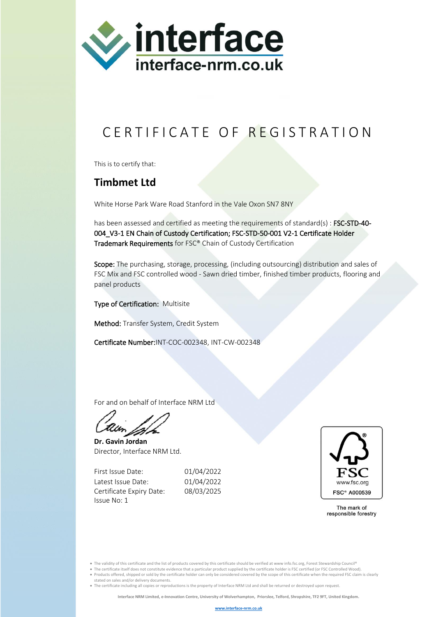

## C E R T I F I C A T E O F R E G I S T R A T I O N

This is to certify that:

## **Timbmet Ltd**

White Horse Park Ware Road Stanford in the Vale Oxon SN7 8NY

has been assessed and certified as meeting the requirements of standard(s) : FSC-STD-40-004\_V3-1 EN Chain of Custody Certification; FSC-STD-50-001 V2-1 Certificate Holder Trademark Requirements for FSC® Chain of Custody Certification

Scope: The purchasing, storage, processing, (including outsourcing) distribution and sales of FSC Mix and FSC controlled wood - Sawn dried timber, finished timber products, flooring and panel products

Type of Certification: Multisite

Method: Transfer System, Credit System

Certificate Number:INT-COC-002348, INT-CW-002348

For and on behalf of Interface NRM Ltd

**Dr. Gavin Jordan** Director, Interface NRM Ltd.

First Issue Date: 01/04/2022 Latest Issue Date: 01/04/2022 Certificate Expiry Date: 08/03/2025 Issue No: 1



The mark of responsible forestry

• The validity of this certificate and the list of products covered by this certificate should be verified at www info.fsc.org, Forest Stewardship Council®

• The certificate itself does not constitute evidence that a particular product supplied by the certificate holder is FSC certified (or FSC Controlled Wood). • Products offered, shipped or sold by the certificate holder can only be considered covered by the scope of this certificate when the required FSC claim is clearly

stated on sales and/or delivery documents.

• The certificate including all copies or reproductions is the property of Interface NRM Ltd and shall be returned or destroyed upon request.

**Interface NRM Limited, e-Innovation Centre, University of Wolverhampton, Priorslee, Telford, Shropshire, TF2 9FT, United Kingdom.**